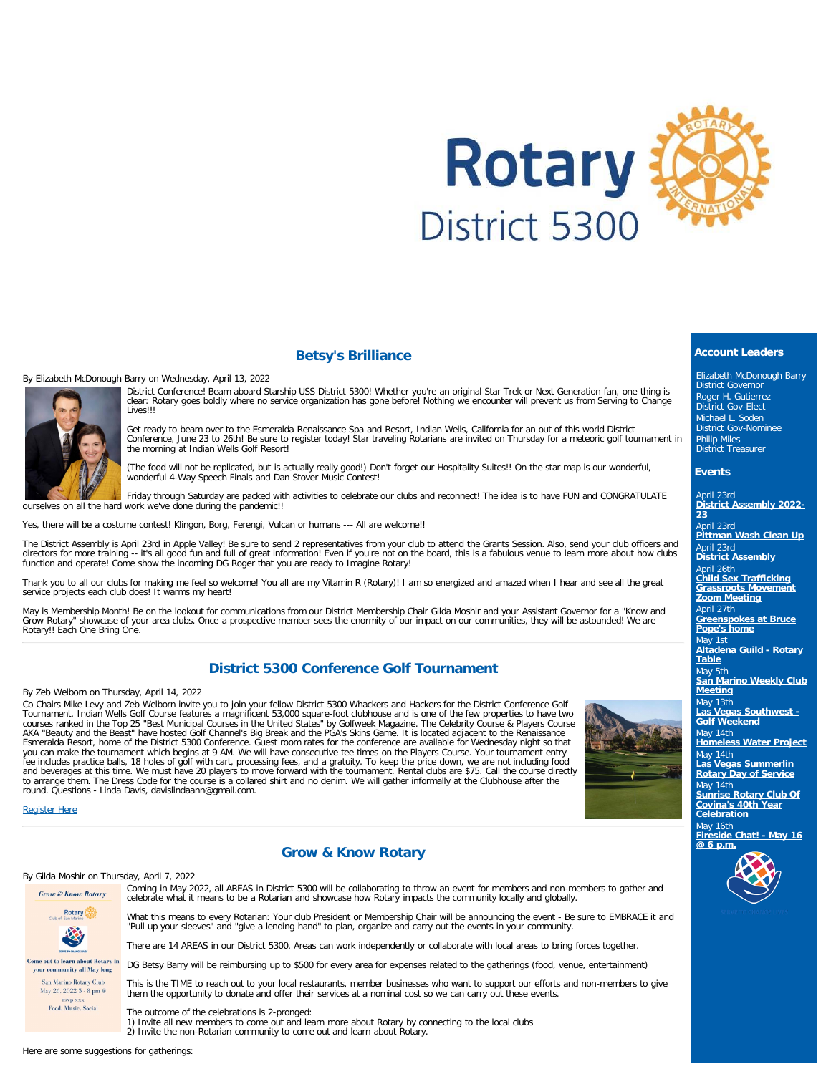

## **Betsy's Brilliance**

By Elizabeth McDonough Barry on Wednesday, April 13, 2022



District Conference! Beam aboard Starship USS District 5300! Whether you're an original Star Trek or Next Generation fan, one thing is clear: Rotary goes boldly where no service organization has gone before! Nothing we encounter will prevent us from Serving to Change Lives!!!

Get ready to beam over to the Esmeralda Renaissance Spa and Resort, Indian Wells, California for an out of this world District<br>Conference, June 23 to 26th! Be sure to register today! Star traveling Rotarians are invited on

(The food will not be replicated, but is actually really good!) Don't forget our Hospitality Suites!! On the star map is our wonderful, wonderful 4-Way Speech Finals and Dan Stover Music Contest!

Friday through Saturday are packed with activities to celebrate our clubs and reconnect! The idea is to have FUN and CONGRATULATE ourselves on all the hard work we've done during the pandemic!!

Yes, there will be a costume contest! Klingon, Borg, Ferengi, Vulcan or humans --- All are welcome!!

The District Assembly is April 23rd in Apple Valley! Be sure to send 2 representatives from your club to attend the Grants Session. Also, send your club officers and directors for more training -- it's all good fun and full of great information! Even if you're not on the board, this is a fabulous venue to learn more about how clubs<br>function and operate! Come show the incoming DG Roger

Thank you to all our clubs for making me feel so welcome! You all are my Vitamin R (Rotary)! I am so energized and amazed when I hear and see all the great service projects each club does! It warms my heart!

May is Membership Month! Be on the lookout for communications from our District Membership Chair Gilda Moshir and your Assistant Governor for a "Know and Grow Rotary" showcase of your area clubs. Once a prospective member sees the enormity of our impact on our communities, they will be astounded! We are Rotary!! Each One Bring One.

# **District 5300 Conference Golf Tournament**

By Zeb Welborn on Thursday, April 14, 2022

Co Chairs Mike Levy and Zeb Welborn invite you to join your fellow District 5300 Whackers and Hackers for the District Conference Golf<br>Tournament. Indian Wells Golf Course features a magnificent 53,000 square-foot clubhous courses ranked in the Top 25 "Best Municipal Courses in the United States" by Golfweek Magazine. The Celebrity Course & Players Course<br>AKA "Beauty and the Beast" have hosted Golf Channel's Big Break and the PGA's Skins Gam you can make the tournament which begins at 9 AM. We will have consecutive tee times on the Players Course. Your tournament entry<br>fee includes practice balls, 18 holes of golf with cart, processing fees, and a gratuity. To and beverages at this time. We must have 20 players to move forward with the tournament. Rental clubs are \$75. Call the course directly<br>to arrange them. The Dress Code for the course is a collared shirt and no denim. We wi round. Questions - Linda Davis, davislindaann@gmail.com.



[Register Here](https://www.dacdb.com/index.html?EventID=77586979)

### **Grow & Know Rotary**

By Gilda Moshir on Thursday, April 7, 2022



Coming in May 2022, all AREAS in District 5300 will be collaborating to throw an event for members and non-members to gather and celebrate what it means to be a Rotarian and showcase how Rotary impacts the community locally and globally.

What this means to every Rotarian: Your club President or Membership Chair will be announcing the event - Be sure to EMBRACE it and "Pull up your sleeves" and "give a lending hand" to plan, organize and carry out the events in your community.

There are 14 AREAS in our District 5300. Areas can work independently or collaborate with local areas to bring forces together.

DG Betsy Barry will be reimbursing up to \$500 for every area for expenses related to the gatherings (food, venue, entertainment)

This is the TIME to reach out to your local restaurants, member businesses who want to support our efforts and non-members to give them the opportunity to donate and offer their services at a nominal cost so we can carry out these events.

The outcome of the celebrations is 2-pronged: 1) Invite all new members to come out and learn more about Rotary by connecting to the local clubs 2) Invite the non-Rotarian community to come out and learn about Rotary.

Here are some suggestions for gatherings:

# **Account Leaders**

Elizabeth McDonough Barry District Governor Roger H. Gutierrez District Gov-Elect Michael L. Soden District Gov-Nominee Philip Miles District Treasurer

#### **Events**

April 23rd **[District Assembly 2022-](https://ismyrotaryclub.com/wp_api_prod_1-1/R_Event.cfm?fixTables=0&fixImages=0&EventID=77579826) [23](https://ismyrotaryclub.com/wp_api_prod_1-1/R_Event.cfm?fixTables=0&fixImages=0&EventID=77579826)**

April 23rd **[Pittman Wash Clean Up](https://ismyrotaryclub.com/wp_api_prod_1-1/R_Event.cfm?fixTables=0&fixImages=0&EventID=77586752)** April 23rd **[District Assembly](https://ismyrotaryclub.com/wp_api_prod_1-1/R_Event.cfm?fixTables=0&fixImages=0&EventID=77584593)**

April 26th **[Child Sex Trafficking](https://ismyrotaryclub.com/wp_api_prod_1-1/R_Event.cfm?fixTables=0&fixImages=0&EventID=77585783) [Grassroots Movement](https://ismyrotaryclub.com/wp_api_prod_1-1/R_Event.cfm?fixTables=0&fixImages=0&EventID=77585783) [Zoom Meeting](https://ismyrotaryclub.com/wp_api_prod_1-1/R_Event.cfm?fixTables=0&fixImages=0&EventID=77585783)**

April 27th **[Greenspokes at Bruce](https://ismyrotaryclub.com/wp_api_prod_1-1/R_Event.cfm?fixTables=0&fixImages=0&EventID=77549250)**

**[Pope's home](https://ismyrotaryclub.com/wp_api_prod_1-1/R_Event.cfm?fixTables=0&fixImages=0&EventID=77549250)**

May 1st **[Altadena Guild - Rotary](https://ismyrotaryclub.com/wp_api_prod_1-1/R_Event.cfm?fixTables=0&fixImages=0&EventID=77583591)**

**[Table](https://ismyrotaryclub.com/wp_api_prod_1-1/R_Event.cfm?fixTables=0&fixImages=0&EventID=77583591)** May 5th

**[San Marino Weekly Club](https://ismyrotaryclub.com/wp_api_prod_1-1/R_Event.cfm?fixTables=0&fixImages=0&EventID=77575161) [Meeting](https://ismyrotaryclub.com/wp_api_prod_1-1/R_Event.cfm?fixTables=0&fixImages=0&EventID=77575161)**

May 13th **[Las Vegas Southwest -](https://ismyrotaryclub.com/wp_api_prod_1-1/R_Event.cfm?fixTables=0&fixImages=0&EventID=77584587) [Golf Weekend](https://ismyrotaryclub.com/wp_api_prod_1-1/R_Event.cfm?fixTables=0&fixImages=0&EventID=77584587)**

May 14th **[Homeless Water Project](https://ismyrotaryclub.com/wp_api_prod_1-1/R_Event.cfm?fixTables=0&fixImages=0&EventID=77585681)**

May 14th **[Las Vegas Summerlin](https://ismyrotaryclub.com/wp_api_prod_1-1/R_Event.cfm?fixTables=0&fixImages=0&EventID=77586967) [Rotary Day of Service](https://ismyrotaryclub.com/wp_api_prod_1-1/R_Event.cfm?fixTables=0&fixImages=0&EventID=77586967)**

May 14th **[Sunrise Rotary Club Of](https://ismyrotaryclub.com/wp_api_prod_1-1/R_Event.cfm?fixTables=0&fixImages=0&EventID=77586180) [Covina's 40th Year](https://ismyrotaryclub.com/wp_api_prod_1-1/R_Event.cfm?fixTables=0&fixImages=0&EventID=77586180) [Celebration](https://ismyrotaryclub.com/wp_api_prod_1-1/R_Event.cfm?fixTables=0&fixImages=0&EventID=77586180)** May 16th

**[Fireside Chat! - May 16](https://ismyrotaryclub.com/wp_api_prod_1-1/R_Event.cfm?fixTables=0&fixImages=0&EventID=77585784) [@ 6 p.m.](https://ismyrotaryclub.com/wp_api_prod_1-1/R_Event.cfm?fixTables=0&fixImages=0&EventID=77585784)**

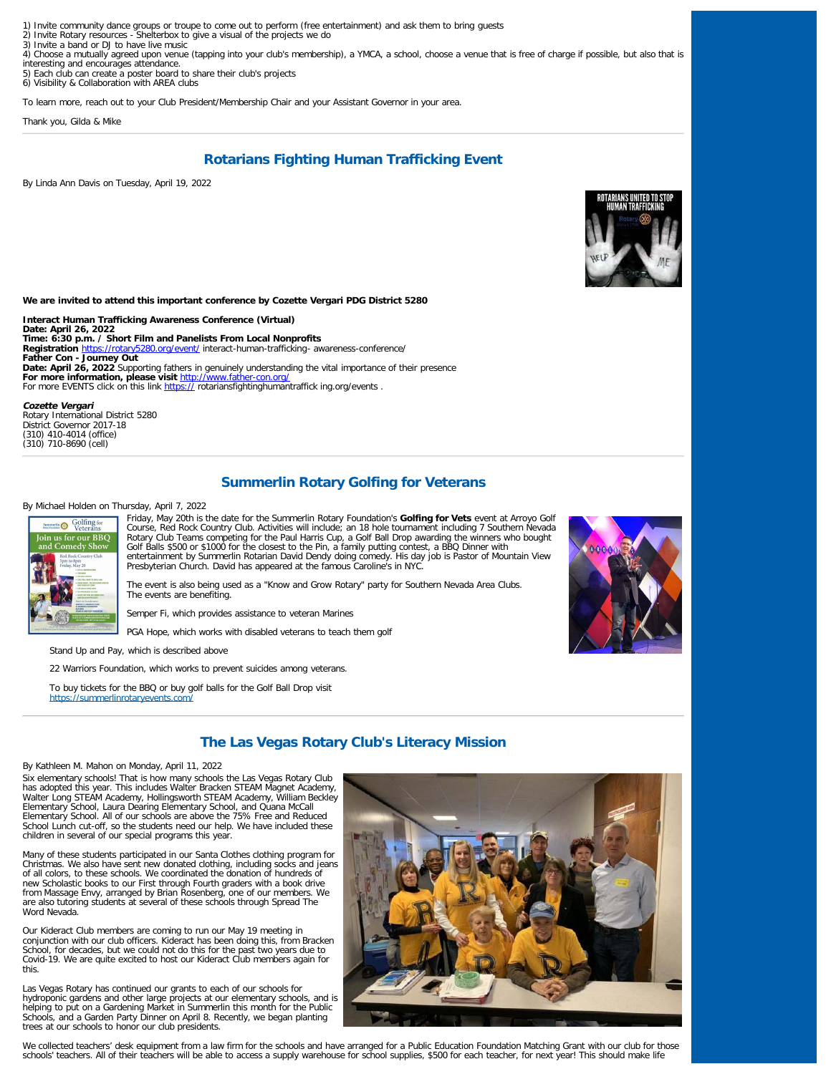- 1) Invite community dance groups or troupe to come out to perform (free entertainment) and ask them to bring guests<br>2) Invite Rotary resources Shelterbox to give a visual of the projects we do
- 2) Invite Rotary resources Shelter box to<br>3) Invite a band or DJ to have live music
- 4) Choose a mutually agreed upon venue (tapping into your club's membership), a YMCA, a school, choose a venue that is free of charge if possible, but also that is interesting and encourages attendance.
- 5) Each club can create a poster board to share their club's projects
- 6) Visibility & Collaboration with AREA clubs

To learn more, reach out to your Club President/Membership Chair and your Assistant Governor in your area.

Thank you, Gilda & Mike

## **Rotarians Fighting Human Trafficking Event**

By Linda Ann Davis on Tuesday, April 19, 2022



**We are invited to attend this important conference by Cozette Vergari PDG District 5280**

**Interact Human Trafficking Awareness Conference (Virtual) Date: April 26, 2022 Time: 6:30 p.m. / Short Film and Panelists From Local Nonprofits Registration** [https://rotary5280.org/event/](https://rotary5280.org/event/interact-human-trafficking-awareness-conference/) interact-human-trafficking- awareness-conference/ **Father Con - Journey Out Date: April 26, 2022** Supporting fathers in genuinely understanding the vital importance of their presence **For more information, please visit** <http://www.father-con.org/> For more EVENTS click on this link [https://](https://rotariansfightinghumantrafficking.org/events) rotariansfightinghumantraffick ing.org/events .

**Cozette Vergari** Rotary International District 5280

District Governor 2017-18 (310) 410-4014 (office) (310) 710-8690 (cell)

### **Summerlin Rotary Golfing for Veterans**

#### By Michael Holden on Thursday, April 7, 2022



Friday, May 20th is the date for the Summerlin Rotary Foundation's **Golfing for Vets** event at Arroyo Golf Course, Red Rock Country Club. Activities will include; an 18 hole tournament including 7 Southern Nevada Rotary Club Teams competing for the Paul Harris Cup, a Golf Ball Drop awarding the winners who bought<br>Golf Balls \$500 or \$1000 for the closest to the Pin, a family putting contest, a BBQ Dinner with<br>entertainment by Summer

The event is also being used as a "Know and Grow Rotary" party for Southern Nevada Area Clubs. The events are benefiting.

Semper Fi, which provides assistance to veteran Marines

PGA Hope, which works with disabled veterans to teach them golf

Stand Up and Pay, which is described above

22 Warriors Foundation, which works to prevent suicides among veterans.

To buy tickets for the BBQ or buy golf balls for the Golf Ball Drop visit <https://summerlinrotaryevents.com/>



## **The Las Vegas Rotary Club's Literacy Mission**

### By Kathleen M. Mahon on Monday, April 11, 2022

Six elementary schools! That is how many schools the Las Vegas Rotary Club has adopted this year. This includes Walter Bracken STEAM Magnet Academy, Walter Long STEAM Academy, Hollingsworth STEAM Academy, William Beckley Elementary School, Laura Dearing Elementary School, and Quana McCall Elementary School. All of our schools are above the 75% Free and Reduced School Lunch cut-off, so the students need our help. We have included these children in several of our special programs this year.

Many of these students participated in our Santa Clothes clothing program for Christmas. We also have sent new donated clothing, including socks and jeans of all colors, to these schools. We coordinated the donation of hundreds of new Scholastic books to our First through Fourth graders with a book drive<br>from Massage Envy, arranged by Brian Rosenberg, one of our members. We<br>are also tutoring students at several of these schools through Spread The Word Nevada.

Our Kideract Club members are coming to run our May 19 meeting in conjunction with our club officers. Kideract has been doing this, from Bracken School, for decades, but we could not do this for the past two years due to Covid-19. We are quite excited to host our Kideract Club members again for this.

Las Vegas Rotary has continued our grants to each of our schools for hydroponic gardens and other large projects at our elementary schools, and is<br>helping to put on a Gardening Market in Summerlin this month for the Public<br>Schools, and a Garden Party Dinner on April 8. Recently, we began pl trees at our schools to honor our club presidents.



We collected teachers' desk equipment from a law firm for the schools and have arranged for a Public Education Foundation Matching Grant with our club for those schools' teachers. All of their teachers will be able to access a supply warehouse for school supplies, \$500 for each teacher, for next year! This should make life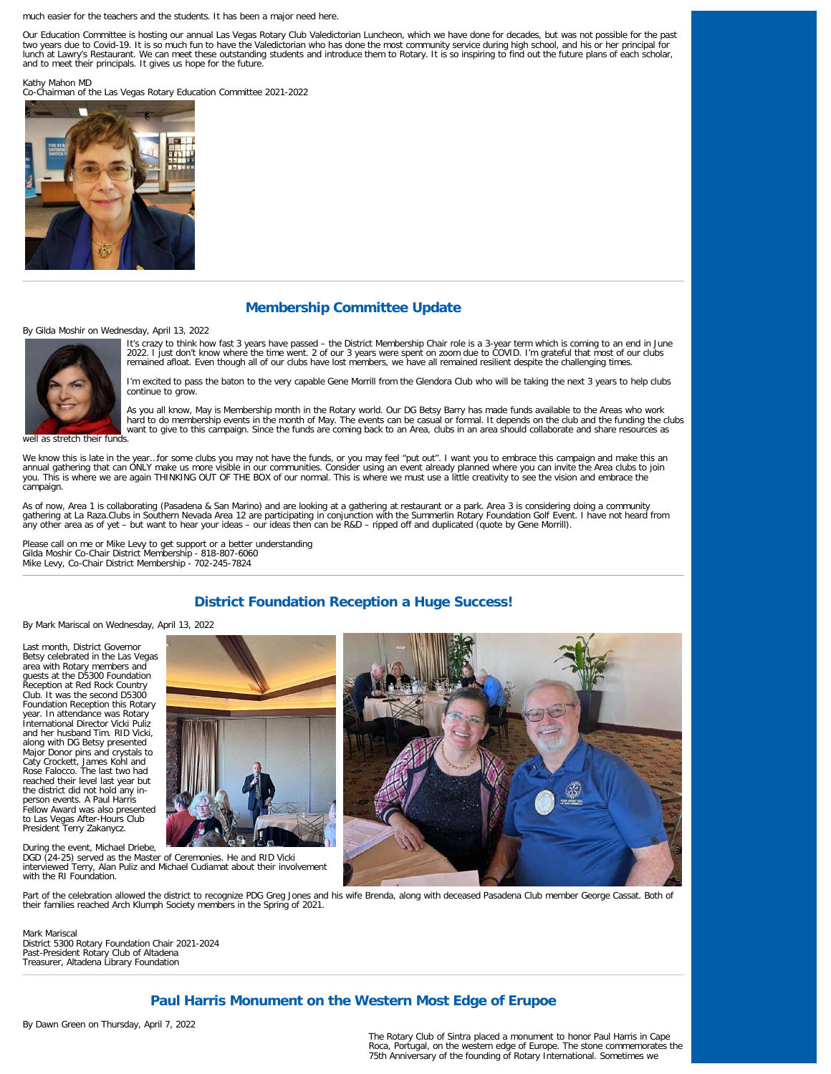much easier for the teachers and the students. It has been a major need here.

Our Education Committee is hosting our annual Las Vegas Rotary Club Valedictorian Luncheon, which we have done for decades, but was not possible for the past two years due to Covid-19. It is so much fun to have the Valedictorian who has done the most community service during high school, and his or her principal for lunch at Lawry's Restaurant. We can meet these outstanding students and introduce them to Rotary. It is so inspiring to find out the future plans of each scholar, and to meet their principals. It gives us hope for the future.

Kathy Mahon MD

Co-Chairman of the Las Vegas Rotary Education Committee 2021-2022



## **Membership Committee Update**

By Gilda Moshir on Wednesday, April 13, 2022

It's crazy to think how fast 3 years have passed – the District Membership Chair role is a 3-year term which is coming to an end in June<br>2022. I just don't know where the time went. 2 of our 3 years were spent on zoom due remained afloat. Even though all of our clubs have lost members, we have all remained resilient despite the challenging times.

I'm excited to pass the baton to the very capable Gene Morrill from the Glendora Club who will be taking the next 3 years to help clubs continue to grow.

As you all know, May is Membership month in the Rotary world. Our DG Betsy Barry has made funds available to the Areas who work<br>hard to do membership events in the month of May. The events can be casual or formal. It depen want to give to this campaign. Since the funds are coming back to an Area, clubs in an area should collaborate and share resources as

well as stretch their funds.

We know this is late in the year...for some clubs you may not have the funds, or you may feel "put out". I want you to embrace this campaign and make this an annual gathering that can ONLY make us more visible in our communities. Consider using an event already planned where you can invite the Area clubs to join<br>you. This is where we are again THINKING OUT OF THE BOX of our nor campaign.

As of now, Area 1 is collaborating (Pasadena & San Marino) and are looking at a gathering at restaurant or a park. Area 3 is considering doing a community<br>gathering at La Raza.Clubs in Southern Nevada Area 12 are participa any other area as of yet – but want to hear your ideas – our ideas then can be R&D – ripped off and duplicated (quote by Gene Morrill).

Please call on me or Mike Levy to get support or a better understanding Gilda Moshir Co-Chair District Membership - 818-807-6060 Mike Levy, Co-Chair District Membership - 702-245-7824

## **District Foundation Reception a Huge Success!**

By Mark Mariscal on Wednesday, April 13, 2022

Last month, District Governor Betsy celebrated in the Las Vegas area with Rotary members and guests at the D5300 Foundation Reception at Red Rock Country Club. It was the second D5300 Foundation Reception this Rotary year. In attendance was Rotary International Director Vicki Puliz and her husband Tim. RID Vicki, along with DG Betsy presented Major Donor pins and crystals to Caty Crockett, James Kohl and Rose Falocco. The last two had reached their level last year but the district did not hold any inperson events. A Paul Harris Fellow Award was also presented to Las Vegas After-Hours Club President Terry Zakanycz.



During the event, Michael Driebe, DGD (24-25) served as the Master of Ceremonies. He and RID Vicki interviewed Terry, Alan Puliz and Michael Cudiamat about their involvement with the RI Foundation.



Part of the celebration allowed the district to recognize PDG Greg Jones and his wife Brenda, along with deceased Pasadena Club member George Cassat. Both of their families reached Arch Klumph Society members in the Spring of 2021.

Mark Mariscal District 5300 Rotary Foundation Chair 2021-2024 Past-President Rotary Club of Altadena Treasurer, Altadena Library Foundation

### **Paul Harris Monument on the Western Most Edge of Erupoe**